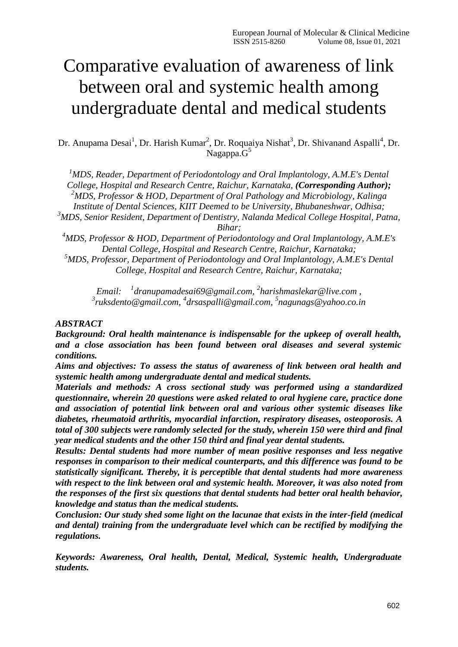# Comparative evaluation of awareness of link between oral and systemic health among undergraduate dental and medical students

Dr. Anupama Desai<sup>1</sup>, Dr. Harish Kumar<sup>2</sup>, Dr. Roquaiya Nishat<sup>3</sup>, Dr. Shivanand Aspalli<sup>4</sup>, Dr. Nagappa.G<sup>5</sup>

*<sup>1</sup>MDS, Reader, Department of Periodontology and Oral Implantology, A.M.E's Dental College, Hospital and Research Centre, Raichur, Karnataka, (Corresponding Author); <sup>2</sup>MDS, Professor & HOD, Department of Oral Pathology and Microbiology, Kalinga Institute of Dental Sciences, KIIT Deemed to be University, Bhubaneshwar, Odhisa; <sup>3</sup>MDS, Senior Resident, Department of Dentistry, Nalanda Medical College Hospital, Patna,* 

*Bihar;*

*<sup>4</sup>MDS, Professor & HOD, Department of Periodontology and Oral Implantology, A.M.E's Dental College, Hospital and Research Centre, Raichur, Karnataka;*

*<sup>5</sup>MDS, Professor, Department of Periodontology and Oral Implantology, A.M.E's Dental College, Hospital and Research Centre, Raichur, Karnataka;*

*Email: <sup>1</sup> [dranupamadesai69@gmail.com,](mailto:1dranupamadesai69@gmail.com) 2 [harishmaslekar@live.com ,](mailto:harishmaslekar@live.com) 3 [ruksdento@gmail.com,](mailto:ruksdento@gmail.com) 4 [drsaspalli@gmail.com,](mailto:drsaspalli@gmail.com) 5 [nagunags@yahoo.co.in](mailto:nagunags@yahoo.co.in)*

### *ABSTRACT*

*Background: Oral health maintenance is indispensable for the upkeep of overall health, and a close association has been found between oral diseases and several systemic conditions.*

*Aims and objectives: To assess the status of awareness of link between oral health and systemic health among undergraduate dental and medical students.*

*Materials and methods: A cross sectional study was performed using a standardized questionnaire, wherein 20 questions were asked related to oral hygiene care, practice done and association of potential link between oral and various other systemic diseases like diabetes, rheumatoid arthritis, myocardial infarction, respiratory diseases, osteoporosis. A total of 300 subjects were randomly selected for the study, wherein 150 were third and final year medical students and the other 150 third and final year dental students.*

*Results: Dental students had more number of mean positive responses and less negative responses in comparison to their medical counterparts, and this difference was found to be statistically significant. Thereby, it is perceptible that dental students had more awareness with respect to the link between oral and systemic health. Moreover, it was also noted from the responses of the first six questions that dental students had better oral health behavior, knowledge and status than the medical students.*

*Conclusion: Our study shed some light on the lacunae that exists in the inter-field (medical and dental) training from the undergraduate level which can be rectified by modifying the regulations.*

*Keywords: Awareness, Oral health, Dental, Medical, Systemic health, Undergraduate students.*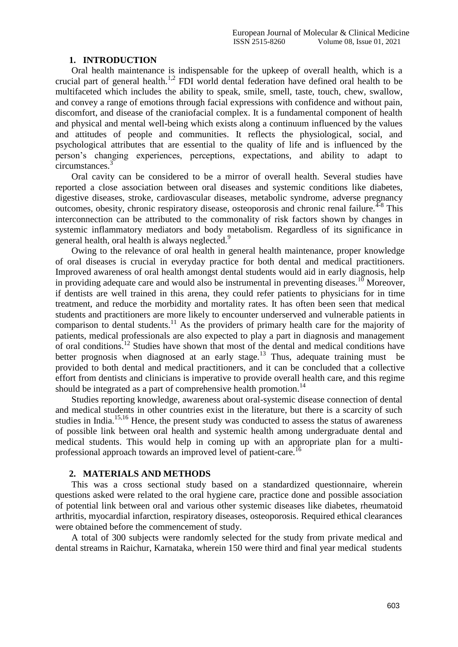#### **1. INTRODUCTION**

Oral health maintenance is indispensable for the upkeep of overall health, which is a crucial part of general health.<sup>1,2</sup> FDI world dental federation have defined oral health to be multifaceted which includes the ability to speak, smile, smell, taste, touch, chew, swallow, and convey a range of emotions through facial expressions with confidence and without pain, discomfort, and disease of the craniofacial complex. It is a fundamental component of health and physical and mental well-being which exists along a continuum influenced by the values and attitudes of people and communities. It reflects the physiological, social, and psychological attributes that are essential to the quality of life and is influenced by the person's changing experiences, perceptions, expectations, and ability to adapt to circumstances.<sup>3</sup>

Oral cavity can be considered to be a mirror of overall health. Several studies have reported a close association between oral diseases and systemic conditions like diabetes, digestive diseases, stroke, cardiovascular diseases, metabolic syndrome, adverse pregnancy outcomes, obesity, chronic respiratory disease, osteoporosis and chronic renal failure.<sup>4-8</sup> This interconnection can be attributed to the commonality of risk factors shown by changes in systemic inflammatory mediators and body metabolism. Regardless of its significance in general health, oral health is always neglected.<sup>9</sup>

Owing to the relevance of oral health in general health maintenance, proper knowledge of oral diseases is crucial in everyday practice for both dental and medical practitioners. Improved awareness of oral health amongst dental students would aid in early diagnosis, help in providing adequate care and would also be instrumental in preventing diseases.<sup>10</sup> Moreover, if dentists are well trained in this arena, they could refer patients to physicians for in time treatment, and reduce the morbidity and mortality rates. It has often been seen that medical students and practitioners are more likely to encounter underserved and vulnerable patients in comparison to dental students.<sup>11</sup> As the providers of primary health care for the majority of patients, medical professionals are also expected to play a part in diagnosis and management of oral conditions.<sup>12</sup> Studies have shown that most of the dental and medical conditions have better prognosis when diagnosed at an early stage.<sup>13</sup> Thus, adequate training must be provided to both dental and medical practitioners, and it can be concluded that a collective effort from dentists and clinicians is imperative to provide overall health care, and this regime should be integrated as a part of comprehensive health promotion.<sup>14</sup>

Studies reporting knowledge, awareness about oral-systemic disease connection of dental and medical students in other countries exist in the literature, but there is a scarcity of such studies in India.<sup>15,16</sup> Hence, the present study was conducted to assess the status of awareness of possible link between oral health and systemic health among undergraduate dental and medical students. This would help in coming up with an appropriate plan for a multiprofessional approach towards an improved level of patient-care.<sup>16</sup>

#### **2. MATERIALS AND METHODS**

This was a cross sectional study based on a standardized questionnaire, wherein questions asked were related to the oral hygiene care, practice done and possible association of potential link between oral and various other systemic diseases like diabetes, rheumatoid arthritis, myocardial infarction, respiratory diseases, osteoporosis. Required ethical clearances were obtained before the commencement of study.

A total of 300 subjects were randomly selected for the study from private medical and dental streams in Raichur, Karnataka, wherein 150 were third and final year medical students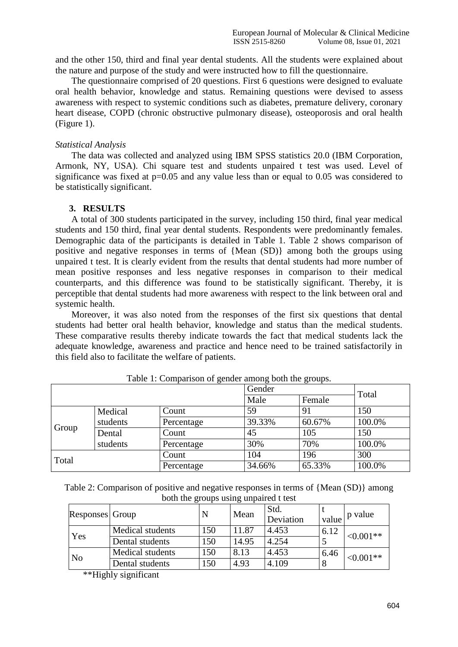and the other 150, third and final year dental students. All the students were explained about the nature and purpose of the study and were instructed how to fill the questionnaire.

The questionnaire comprised of 20 questions. First 6 questions were designed to evaluate oral health behavior, knowledge and status. Remaining questions were devised to assess awareness with respect to systemic conditions such as diabetes, premature delivery, coronary heart disease, COPD (chronic obstructive pulmonary disease), osteoporosis and oral health (Figure 1).

# *Statistical Analysis*

The data was collected and analyzed using IBM SPSS statistics 20.0 (IBM Corporation, Armonk, NY, USA). Chi square test and students unpaired t test was used. Level of significance was fixed at  $p=0.05$  and any value less than or equal to 0.05 was considered to be statistically significant.

## **3. RESULTS**

A total of 300 students participated in the survey, including 150 third, final year medical students and 150 third, final year dental students. Respondents were predominantly females. Demographic data of the participants is detailed in Table 1. Table 2 shows comparison of positive and negative responses in terms of {Mean (SD)} among both the groups using unpaired t test. It is clearly evident from the results that dental students had more number of mean positive responses and less negative responses in comparison to their medical counterparts, and this difference was found to be statistically significant. Thereby, it is perceptible that dental students had more awareness with respect to the link between oral and systemic health.

Moreover, it was also noted from the responses of the first six questions that dental students had better oral health behavior, knowledge and status than the medical students. These comparative results thereby indicate towards the fact that medical students lack the adequate knowledge, awareness and practice and hence need to be trained satisfactorily in this field also to facilitate the welfare of patients.

|       |                      |            | Gender<br>Male<br>Female |        | Total  |
|-------|----------------------|------------|--------------------------|--------|--------|
|       |                      |            |                          |        |        |
| Group | Medical<br>students  | Count      | 59                       | 91     | 150    |
|       |                      | Percentage | 39.33%                   | 60.67% | 100.0% |
|       | Dental               | Count      | 45                       | 105    | 150    |
|       | students             | Percentage | 30%                      | 70%    | 100.0% |
| Total |                      | Count      | 104                      | 196    | 300    |
|       | 34.66%<br>Percentage |            | 65.33%                   | 100.0% |        |

Table 1: Comparison of gender among both the groups.

| Table 2: Comparison of positive and negative responses in terms of ${Mean(SD)}$ among |  |
|---------------------------------------------------------------------------------------|--|
| both the groups using unpaired t test                                                 |  |

| Responses Group |                         | N   | Mean  | Std.<br>Deviation | value               | p value     |  |
|-----------------|-------------------------|-----|-------|-------------------|---------------------|-------------|--|
| Yes             | <b>Medical students</b> | 150 | 11.87 | 4.453             | 6.12                | $< 0.001**$ |  |
|                 | Dental students         | 150 | 14.95 | 4.254             |                     |             |  |
| No              | <b>Medical students</b> | 150 | 8.13  | 4.453             | 6.46<br>$< 0.001**$ |             |  |
|                 | Dental students         | 150 | 4.93  | 4.109             |                     |             |  |

\*\*Highly significant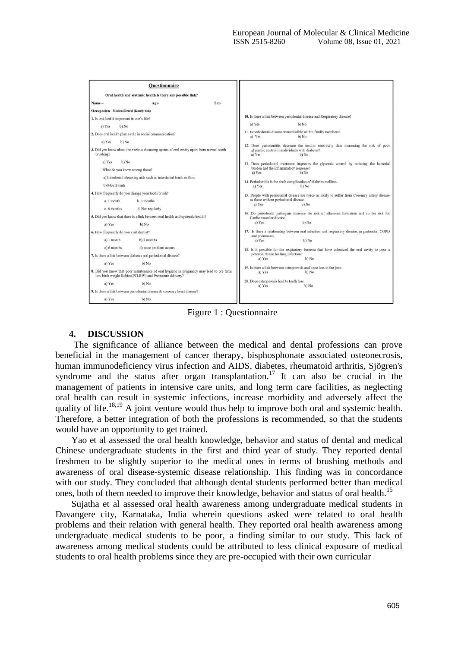

Figure 1 : Questionnaire

# **4. DISCUSSION**

The significance of alliance between the medical and dental professions can prove beneficial in the management of cancer therapy, bisphosphonate associated osteonecrosis, [human immunodeficiency virus infection](https://www.sciencedirect.com/topics/medicine-and-dentistry/human-immunodeficiency-virus-infection) and AIDS, [diabetes,](https://www.sciencedirect.com/topics/medicine-and-dentistry/diabetes-mellitus) [rheumatoid arthritis,](https://www.sciencedirect.com/topics/medicine-and-dentistry/rheumatoid-arthritis) [Sjögren's](https://www.sciencedirect.com/topics/medicine-and-dentistry/sjoegren-syndrome) [syndrome a](https://www.sciencedirect.com/topics/medicine-and-dentistry/sjoegren-syndrome)nd the status after [organ transplantation.](https://www.sciencedirect.com/topics/medicine-and-dentistry/organ-transplantation)<sup>17</sup> It can also be crucial in the management of patients in intensive care units, and long term care facilities, as neglecting oral health can result in systemic infections, increase morbidity and adversely affect the quality of life.<sup>18,19</sup> A joint venture would thus help to improve both oral and systemic health. Therefore, a better integration of both the professions is recommended, so that the students would have an opportunity to get trained.

Yao et al assessed the oral health knowledge, behavior and status of dental and medical Chinese undergraduate students in the first and third year of study. They reported dental freshmen to be slightly superior to the medical ones in terms of brushing methods and awareness of oral disease-systemic disease relationship. This finding was in concordance with our study. They concluded that although dental students performed better than medical ones, both of them needed to improve their knowledge, behavior and status of oral health.<sup>15</sup>

Sujatha et al assessed oral health awareness among undergraduate medical students in Davangere city, Karnataka, India wherein questions asked were related to oral health problems and their relation with general health. They reported oral health awareness among undergraduate medical students to be poor, a finding similar to our study. This lack of awareness among medical students could be attributed to less clinical exposure of medical students to oral health problems since they are pre-occupied with their own curricular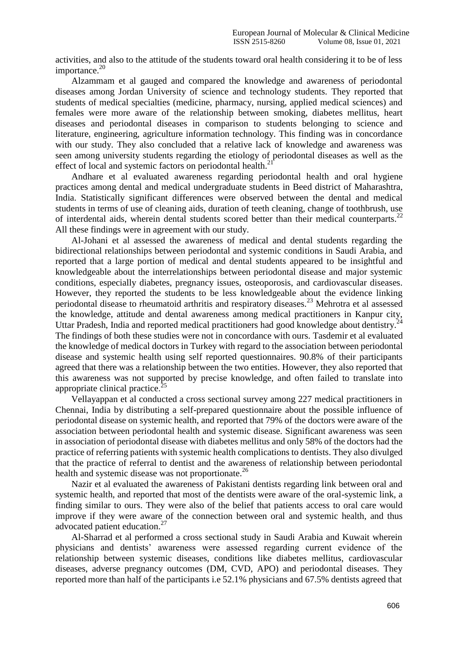activities, and also to the attitude of the students toward oral health considering it to be of less importance. $20$ 

Alzammam et al gauged and compared the knowledge and awareness of periodontal diseases among Jordan University of science and technology students. They reported that students of medical specialties (medicine, pharmacy, nursing, applied medical sciences) and females were more aware of the relationship between smoking, diabetes mellitus, heart diseases and periodontal diseases in comparison to students belonging to science and literature, engineering, agriculture information technology. This finding was in concordance with our study. They also concluded that a relative lack of knowledge and awareness was seen among university students regarding the etiology of periodontal diseases as well as the effect of local and systemic factors on periodontal health. $^{21}$ 

Andhare et al evaluated awareness regarding periodontal health and oral hygiene practices among dental and medical undergraduate students in Beed district of Maharashtra, India. Statistically significant differences were observed between the dental and medical students in terms of use of cleaning aids, duration of teeth cleaning, change of toothbrush, use of interdental aids, wherein dental students scored better than their medical counterparts.<sup>22</sup> All these findings were in agreement with our study.

Al-Johani et al assessed the awareness of medical and dental students regarding the bidirectional relationships between periodontal and systemic conditions in Saudi Arabia, and reported that a large portion of medical and dental students appeared to be insightful and knowledgeable about the interrelationships between periodontal disease and major systemic conditions, especially diabetes, pregnancy issues, osteoporosis, and cardiovascular diseases. However, they reported the students to be less knowledgeable about the evidence linking periodontal disease to rheumatoid arthritis and respiratory diseases.<sup>23</sup> Mehrotra et al assessed periodontal disease to incumation attitude and corresponding medical practitioners in Kanpur city,<br>the knowledge, attitude and [dental a](https://www.omicsonline.org/pediatric-dental-care.php)wareness among medical practitioners in Kanpur city, Uttar Pradesh, India and reported medical practitioners had good knowledge about [dentistry.](https://www.omicsonline.org/dentistry.php)<sup>2</sup> The findings of both these studies were not in concordance with ours. Tasdemir et al evaluated the knowledge of medical doctors in Turkey with regard to the association between periodontal disease and systemic health using self reported questionnaires. 90.8% of their participants agreed that there was a relationship between the two entities. However, they also reported that this awareness was not supported by precise knowledge, and often failed to translate into appropriate clinical practice.<sup>2</sup>

Vellayappan et al conducted a cross sectional survey among 227 medical practitioners in Chennai, India by distributing a self-prepared questionnaire about the possible influence of periodontal disease on systemic health, and reported that 79% of the doctors were aware of the association between periodontal health and systemic disease. Significant awareness was seen in association of periodontal disease with diabetes mellitus and only 58% of the doctors had the practice of referring patients with systemic health complications to dentists. They also divulged that the practice of referral to dentist and the awareness of relationship between periodontal health and systemic disease was not proportionate.<sup>26</sup>

Nazir et al evaluated the awareness of Pakistani dentists regarding link between oral and systemic health, and reported that most of the dentists were aware of the oral-systemic link, a finding similar to ours. They were also of the belief that patients access to oral care would improve if they were aware of the connection between oral and systemic health, and thus advocated patient education.<sup>27</sup>

Al-Sharrad et al performed a cross sectional study in Saudi Arabia and Kuwait wherein physicians and dentists' awareness were assessed regarding current evidence of the relationship between systemic diseases, conditions like diabetes mellitus, cardiovascular diseases, adverse pregnancy outcomes (DM, CVD, APO) and periodontal diseases. They reported more than half of the participants i.e 52.1% physicians and 67.5% dentists agreed that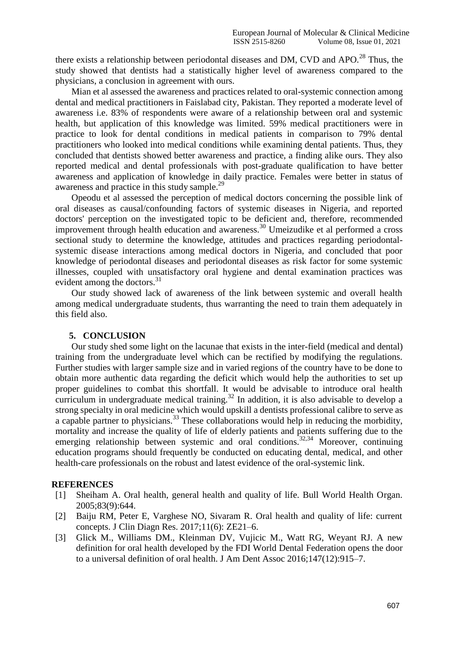there exists a relationship between periodontal diseases and DM, CVD and APO.<sup>28</sup> Thus, the study showed that dentists had a statistically higher level of awareness compared to the physicians, a conclusion in agreement with ours.

Mian et al assessed the awareness and practices related to oral-systemic connection among dental and medical practitioners in Faislabad city, Pakistan. They reported a moderate level of awareness i.e. 83% of respondents were aware of a relationship between oral and systemic health, but application of this knowledge was limited. 59% medical practitioners were in practice to look for dental conditions in medical patients in comparison to 79% dental practitioners who looked into medical conditions while examining dental patients. Thus, they concluded that dentists showed better awareness and practice, a finding alike ours. They also reported medical and dental professionals with post-graduate qualification to have better awareness and application of knowledge in daily practice. Females were better in status of awareness and practice in this study sample.<sup>29</sup>

Opeodu et al assessed the perception of medical doctors concerning the possible link of oral diseases as causal/confounding factors of systemic diseases in Nigeria, and reported doctors' perception on the investigated topic to be deficient and, therefore, recommended improvement through health education and awareness.<sup>30</sup> [Umeizudike e](http://europepmc.org/search?query=AUTH%3A%22K%20A%20Umeizudike%22)t al performed a cross sectional study to determine the knowledge, attitudes and practices regarding periodontalsystemic disease interactions among medical doctors in Nigeria, and concluded that poor knowledge of periodontal diseases and periodontal diseases as risk factor for some systemic illnesses, coupled with unsatisfactory oral hygiene and dental examination practices was evident among the doctors.<sup>31</sup>

Our study showed lack of awareness of the link between systemic and overall health among medical undergraduate students, thus warranting the need to train them adequately in this field also.

# **5. CONCLUSION**

Our study shed some light on the lacunae that exists in the inter-field (medical and dental) training from the undergraduate level which can be rectified by modifying the regulations. Further studies with larger sample size and in varied regions of the country have to be done to obtain more authentic data regarding the deficit which would help the authorities to set up proper guidelines to combat this shortfall. It would be advisable to introduce oral health curriculum in undergraduate medical training.<sup>32</sup> In addition, it is also advisable to develop a strong specialty in oral medicine which would upskill a dentists professional calibre to serve as a capable partner to physicians.<sup>33</sup> These collaborations would help in reducing the morbidity, mortality and increase the quality of life of elderly patients and patients suffering due to the emerging relationship between systemic and oral conditions.<sup>32,34</sup> Moreover, continuing education programs should frequently be conducted on educating dental, medical, and other health-care professionals on the robust and latest evidence of the oral-systemic link.

## **REFERENCES**

- [1] Sheiham A. Oral health, general health and quality of life. Bull World Health Organ. 2005;83(9):644.
- [2] Baiju RM, Peter E, Varghese NO, Sivaram R. Oral health and quality of life: current concepts. J Clin Diagn Res. 2017;11(6): ZE21–6.
- [3] Glick M., Williams DM., Kleinman DV, Vujicic M., Watt RG, Weyant RJ. A new definition for oral health developed by the FDI World Dental Federation opens the door to a universal definition of oral health. J Am Dent Assoc 2016;147(12):915–7.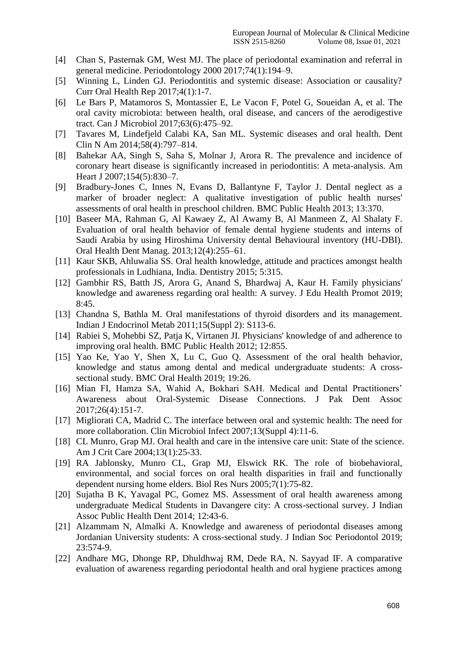- [4] Chan S, Pasternak GM, West MJ. The place of periodontal examination and referral in general medicine. Periodontology 2000 2017;74(1):194–9.
- [5] Winning L, Linden GJ. Periodontitis and systemic disease: Association or causality? Curr Oral Health Rep 2017;4(1):1-7.
- [6] Le Bars P, Matamoros S, Montassier E, Le Vacon F, Potel G, Soueidan A, et al. The oral cavity microbiota: between health, oral disease, and cancers of the aerodigestive tract. Can J Microbiol 2017;63(6):475–92.
- [7] Tavares M, Lindefjeld Calabi KA, San ML. Systemic diseases and oral health. Dent Clin N Am 2014;58(4):797–814.
- [8] Bahekar AA, Singh S, Saha S, Molnar J, Arora R. The prevalence and incidence of coronary heart disease is significantly increased in periodontitis: A meta-analysis. Am Heart J 2007;154(5):830–7.
- [9] Bradbury-Jones C, Innes N, Evans D, Ballantyne F, Taylor J. Dental neglect as a marker of broader neglect: A qualitative investigation of public health nurses' assessments of oral health in preschool children. BMC Public Health 2013; 13:370.
- [10] Baseer MA, Rahman G, Al Kawaey Z, Al Awamy B, Al Manmeen Z, Al Shalaty F. Evaluation of oral health behavior of female dental hygiene students and interns of Saudi Arabia by using Hiroshima University dental Behavioural inventory (HU-DBI). Oral Health Dent Manag. 2013;12(4):255–61.
- [11] Kaur SKB, Ahluwalia SS. Oral health knowledge, attitude and practices amongst health professionals in Ludhiana, India. Dentistry 2015; 5:315.
- [12] Gambhir RS, Batth JS, Arora G, Anand S, Bhardwaj A, Kaur H. Family physicians' knowledge and awareness regarding oral health: A survey. J Edu Health Promot 2019; 8:45.
- [13] Chandna S, Bathla M. Oral manifestations of thyroid disorders and its management. Indian J Endocrinol Metab 2011;15(Suppl 2): S113-6.
- [14] Rabiei S, Mohebbi SZ, Patja K, Virtanen JI. Physicians' knowledge of and adherence to improving oral health. BMC Public Health 2012; 12:855.
- [15] Yao Ke, Yao Y, Shen X, Lu C, Guo Q. Assessment of the oral health behavior, knowledge and status among dental and medical undergraduate students: A crosssectional study. BMC Oral Health 2019; 19:26.
- [16] Mian FI, Hamza SA, Wahid A, Bokhari SAH. Medical and Dental Practitioners' Awareness about Oral-Systemic Disease Connections. J Pak Dent Assoc 2017;26(4):151-7.
- [17] Migliorati CA, Madrid C. The interface between oral and systemic health: The need for more collaboration. Clin Microbiol Infect 2007;13(Suppl 4):11-6.
- [18] CL Munro, Grap MJ. Oral health and care in the intensive care unit: State of the science. Am J Crit Care 2004;13(1):25-33.
- [19] RA Jablonsky, Munro CL, Grap MJ, Elswick RK. The role of biobehavioral, environmental, and social forces on oral health disparities in frail and functionally dependent nursing home elders. Biol Res Nurs 2005;7(1):75-82.
- [20] Sujatha B K, Yavagal PC, Gomez MS. Assessment of oral health awareness among undergraduate Medical Students in Davangere city: A cross-sectional survey. J Indian Assoc Public Health Dent 2014; 12:43-6.
- [21] Alzammam N, Almalki A. Knowledge and awareness of periodontal diseases among Jordanian University students: A cross-sectional study. J Indian Soc Periodontol 2019; 23:574-9.
- [22] Andhare MG, Dhonge RP, Dhuldhwaj RM, Dede RA, N. Sayyad IF. A comparative evaluation of awareness regarding periodontal health and oral hygiene practices among